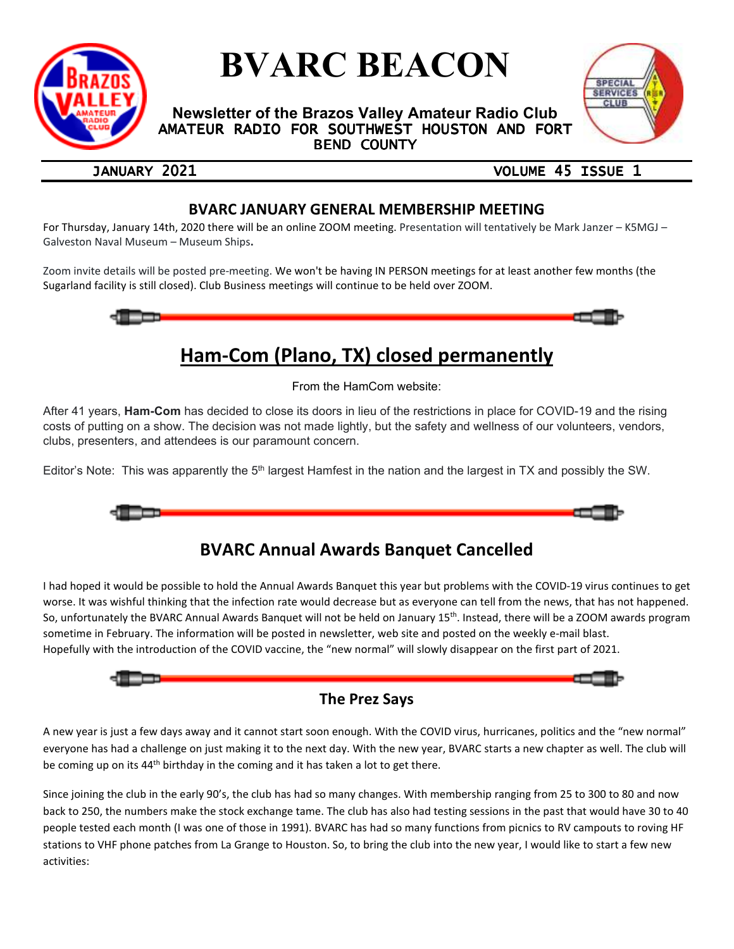

# **BVARC BEACON**

**Newsletter of the Brazos Valley Amateur Radio Club**  AMATEUR RADIO FOR SOUTHWEST HOUSTON AND FORT **BEND COUNTY** 



### JANUARY 2021 **VOLUME 45 ISSUE 1**

## **BVARC JANUARY GENERAL MEMBERSHIP MEETING**

For Thursday, January 14th, 2020 there will be an online ZOOM meeting. Presentation will tentatively be Mark Janzer – K5MGJ – Galveston Naval Museum – Museum Ships**.** 

Zoom invite details will be posted pre-meeting. We won't be having IN PERSON meetings for at least another few months (the Sugarland facility is still closed). Club Business meetings will continue to be held over ZOOM.



## **Ham-Com (Plano, TX) closed permanently**

From the HamCom website:

After 41 years, **Ham-Com** has decided to close its doors in lieu of the restrictions in place for COVID-19 and the rising costs of putting on a show. The decision was not made lightly, but the safety and wellness of our volunteers, vendors, clubs, presenters, and attendees is our paramount concern.

Editor's Note: This was apparently the  $5<sup>th</sup>$  largest Hamfest in the nation and the largest in TX and possibly the SW.



## **BVARC Annual Awards Banquet Cancelled**

I had hoped it would be possible to hold the Annual Awards Banquet this year but problems with the COVID-19 virus continues to get worse. It was wishful thinking that the infection rate would decrease but as everyone can tell from the news, that has not happened. So, unfortunately the BVARC Annual Awards Banquet will not be held on January 15th. Instead, there will be a ZOOM awards program sometime in February. The information will be posted in newsletter, web site and posted on the weekly e-mail blast. Hopefully with the introduction of the COVID vaccine, the "new normal" will slowly disappear on the first part of 2021.



## **The Prez Says**

A new year is just a few days away and it cannot start soon enough. With the COVID virus, hurricanes, politics and the "new normal" everyone has had a challenge on just making it to the next day. With the new year, BVARC starts a new chapter as well. The club will be coming up on its 44<sup>th</sup> birthday in the coming and it has taken a lot to get there.

Since joining the club in the early 90's, the club has had so many changes. With membership ranging from 25 to 300 to 80 and now back to 250, the numbers make the stock exchange tame. The club has also had testing sessions in the past that would have 30 to 40 people tested each month (I was one of those in 1991). BVARC has had so many functions from picnics to RV campouts to roving HF stations to VHF phone patches from La Grange to Houston. So, to bring the club into the new year, I would like to start a few new activities: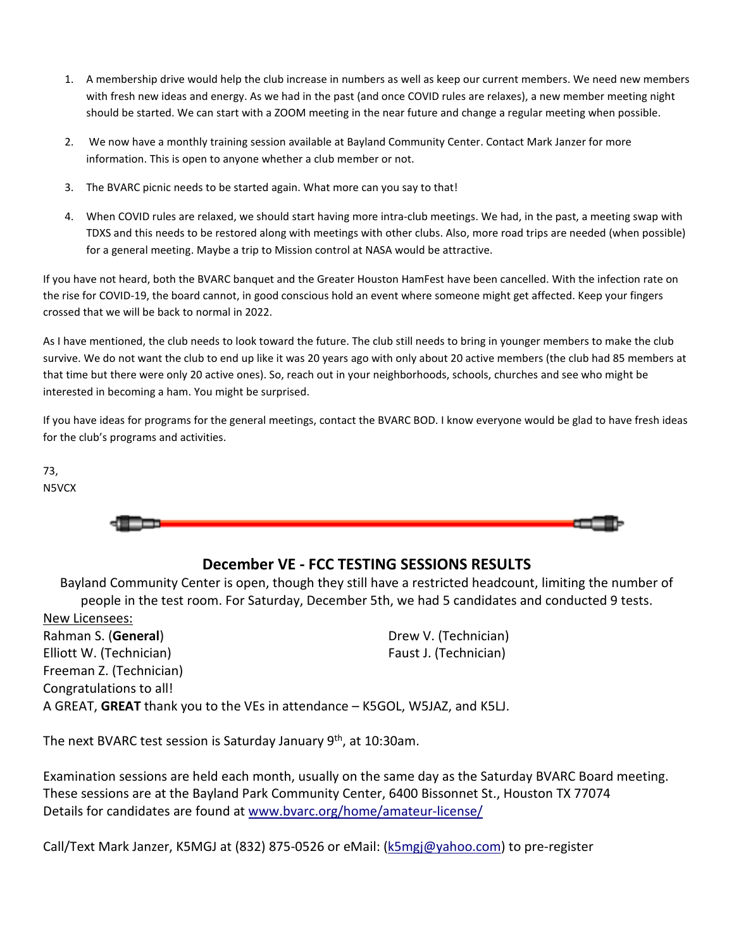- 1. A membership drive would help the club increase in numbers as well as keep our current members. We need new members with fresh new ideas and energy. As we had in the past (and once COVID rules are relaxes), a new member meeting night should be started. We can start with a ZOOM meeting in the near future and change a regular meeting when possible.
- 2. We now have a monthly training session available at Bayland Community Center. Contact Mark Janzer for more information. This is open to anyone whether a club member or not.
- 3. The BVARC picnic needs to be started again. What more can you say to that!
- 4. When COVID rules are relaxed, we should start having more intra-club meetings. We had, in the past, a meeting swap with TDXS and this needs to be restored along with meetings with other clubs. Also, more road trips are needed (when possible) for a general meeting. Maybe a trip to Mission control at NASA would be attractive.

If you have not heard, both the BVARC banquet and the Greater Houston HamFest have been cancelled. With the infection rate on the rise for COVID-19, the board cannot, in good conscious hold an event where someone might get affected. Keep your fingers crossed that we will be back to normal in 2022.

As I have mentioned, the club needs to look toward the future. The club still needs to bring in younger members to make the club survive. We do not want the club to end up like it was 20 years ago with only about 20 active members (the club had 85 members at that time but there were only 20 active ones). So, reach out in your neighborhoods, schools, churches and see who might be interested in becoming a ham. You might be surprised.

If you have ideas for programs for the general meetings, contact the BVARC BOD. I know everyone would be glad to have fresh ideas for the club's programs and activities.

73, N5VCX



## **December VE - FCC TESTING SESSIONS RESULTS**

Bayland Community Center is open, though they still have a restricted headcount, limiting the number of people in the test room. For Saturday, December 5th, we had 5 candidates and conducted 9 tests. New Licensees:

Rahman S. (**General**) Elliott W. (Technician) Freeman Z. (Technician) Drew V. (Technician) Faust J. (Technician) Congratulations to all! A GREAT, **GREAT** thank you to the VEs in attendance – K5GOL, W5JAZ, and K5LJ.

The next BVARC test session is Saturday January 9<sup>th</sup>, at 10:30am.

Examination sessions are held each month, usually on the same day as the Saturday BVARC Board meeting. These sessions are at the Bayland Park Community Center, 6400 Bissonnet St., Houston TX 77074 Details for candidates are found at www.bvarc.org/home/amateur-license/

Call/Text Mark Janzer, K5MGJ at (832) 875-0526 or eMail: (k5mgj@yahoo.com) to pre-register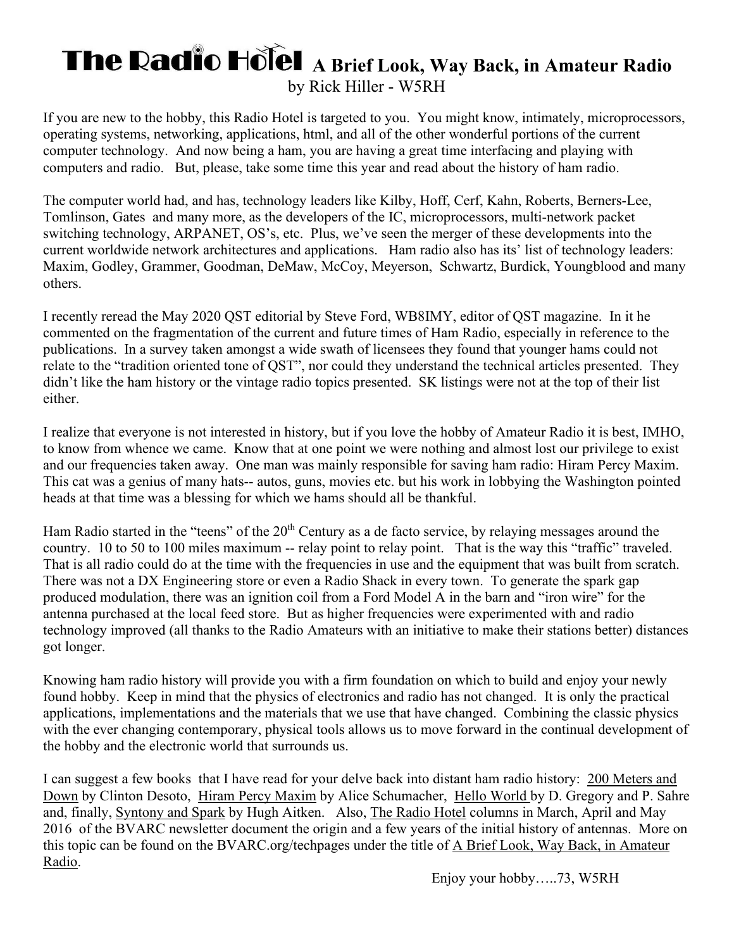## **The Radio Holel A Brief Look, Way Back, in Amateur Radio** by Rick Hiller - W5RH

If you are new to the hobby, this Radio Hotel is targeted to you. You might know, intimately, microprocessors, operating systems, networking, applications, html, and all of the other wonderful portions of the current computer technology. And now being a ham, you are having a great time interfacing and playing with computers and radio. But, please, take some time this year and read about the history of ham radio.

The computer world had, and has, technology leaders like Kilby, Hoff, Cerf, Kahn, Roberts, Berners-Lee, Tomlinson, Gates and many more, as the developers of the IC, microprocessors, multi-network packet switching technology, ARPANET, OS's, etc. Plus, we've seen the merger of these developments into the current worldwide network architectures and applications. Ham radio also has its' list of technology leaders: Maxim, Godley, Grammer, Goodman, DeMaw, McCoy, Meyerson, Schwartz, Burdick, Youngblood and many others.

I recently reread the May 2020 QST editorial by Steve Ford, WB8IMY, editor of QST magazine. In it he commented on the fragmentation of the current and future times of Ham Radio, especially in reference to the publications. In a survey taken amongst a wide swath of licensees they found that younger hams could not relate to the "tradition oriented tone of QST", nor could they understand the technical articles presented. They didn't like the ham history or the vintage radio topics presented. SK listings were not at the top of their list either.

I realize that everyone is not interested in history, but if you love the hobby of Amateur Radio it is best, IMHO, to know from whence we came. Know that at one point we were nothing and almost lost our privilege to exist and our frequencies taken away. One man was mainly responsible for saving ham radio: Hiram Percy Maxim. This cat was a genius of many hats-- autos, guns, movies etc. but his work in lobbying the Washington pointed heads at that time was a blessing for which we hams should all be thankful.

Ham Radio started in the "teens" of the 20<sup>th</sup> Century as a de facto service, by relaying messages around the country. 10 to 50 to 100 miles maximum -- relay point to relay point. That is the way this "traffic" traveled. That is all radio could do at the time with the frequencies in use and the equipment that was built from scratch. There was not a DX Engineering store or even a Radio Shack in every town. To generate the spark gap produced modulation, there was an ignition coil from a Ford Model A in the barn and "iron wire" for the antenna purchased at the local feed store. But as higher frequencies were experimented with and radio technology improved (all thanks to the Radio Amateurs with an initiative to make their stations better) distances got longer.

Knowing ham radio history will provide you with a firm foundation on which to build and enjoy your newly found hobby. Keep in mind that the physics of electronics and radio has not changed. It is only the practical applications, implementations and the materials that we use that have changed. Combining the classic physics with the ever changing contemporary, physical tools allows us to move forward in the continual development of the hobby and the electronic world that surrounds us.

I can suggest a few books that I have read for your delve back into distant ham radio history: 200 Meters and Down by Clinton Desoto, Hiram Percy Maxim by Alice Schumacher, Hello World by D. Gregory and P. Sahre and, finally, Syntony and Spark by Hugh Aitken. Also, The Radio Hotel columns in March, April and May 2016 of the BVARC newsletter document the origin and a few years of the initial history of antennas. More on this topic can be found on the BVARC.org/techpages under the title of A Brief Look, Way Back, in Amateur Radio.

Enjoy your hobby…..73, W5RH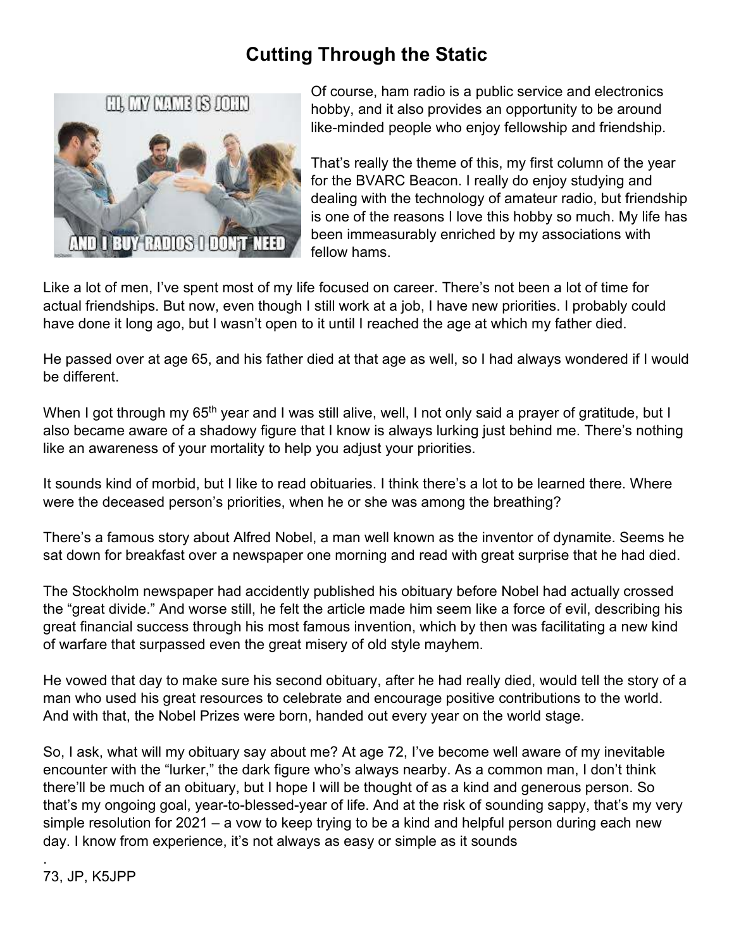## **Cutting Through the Static**



Of course, ham radio is a public service and electronics hobby, and it also provides an opportunity to be around like-minded people who enjoy fellowship and friendship.

That's really the theme of this, my first column of the year for the BVARC Beacon. I really do enjoy studying and dealing with the technology of amateur radio, but friendship is one of the reasons I love this hobby so much. My life has been immeasurably enriched by my associations with fellow hams.

Like a lot of men, I've spent most of my life focused on career. There's not been a lot of time for actual friendships. But now, even though I still work at a job, I have new priorities. I probably could have done it long ago, but I wasn't open to it until I reached the age at which my father died.

He passed over at age 65, and his father died at that age as well, so I had always wondered if I would be different.

When I got through my 65<sup>th</sup> year and I was still alive, well, I not only said a prayer of gratitude, but I also became aware of a shadowy figure that I know is always lurking just behind me. There's nothing like an awareness of your mortality to help you adjust your priorities.

It sounds kind of morbid, but I like to read obituaries. I think there's a lot to be learned there. Where were the deceased person's priorities, when he or she was among the breathing?

There's a famous story about Alfred Nobel, a man well known as the inventor of dynamite. Seems he sat down for breakfast over a newspaper one morning and read with great surprise that he had died.

The Stockholm newspaper had accidently published his obituary before Nobel had actually crossed the "great divide." And worse still, he felt the article made him seem like a force of evil, describing his great financial success through his most famous invention, which by then was facilitating a new kind of warfare that surpassed even the great misery of old style mayhem.

He vowed that day to make sure his second obituary, after he had really died, would tell the story of a man who used his great resources to celebrate and encourage positive contributions to the world. And with that, the Nobel Prizes were born, handed out every year on the world stage.

So, I ask, what will my obituary say about me? At age 72, I've become well aware of my inevitable encounter with the "lurker," the dark figure who's always nearby. As a common man, I don't think there'll be much of an obituary, but I hope I will be thought of as a kind and generous person. So that's my ongoing goal, year-to-blessed-year of life. And at the risk of sounding sappy, that's my very simple resolution for 2021 – a vow to keep trying to be a kind and helpful person during each new day. I know from experience, it's not always as easy or simple as it sounds

.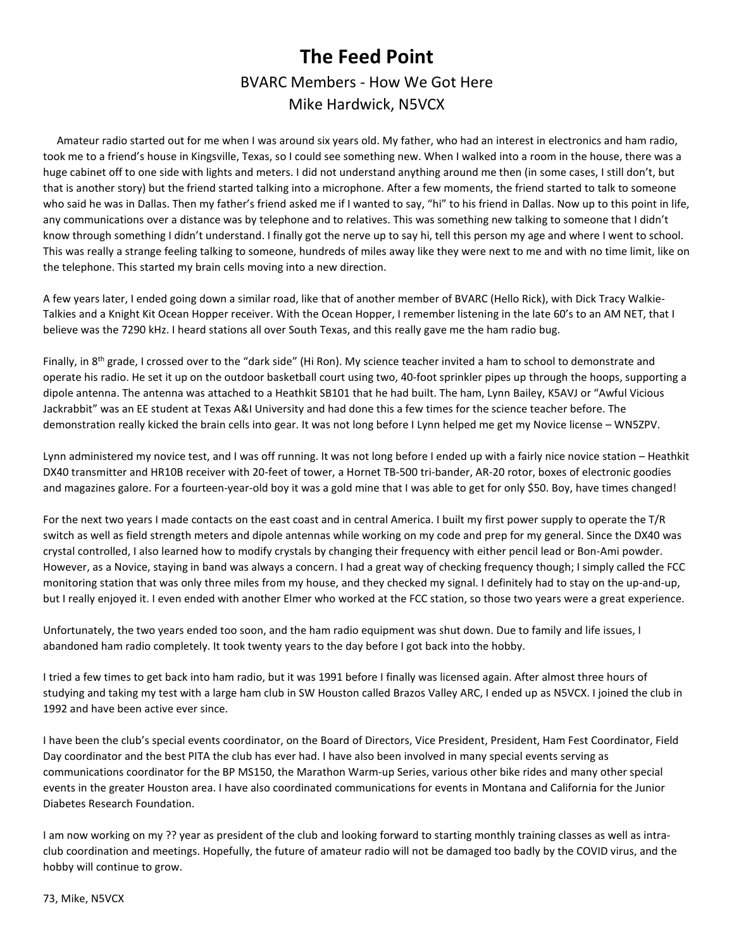## **The Feed Point**  BVARC Members - How We Got Here Mike Hardwick, N5VCX

 Amateur radio started out for me when I was around six years old. My father, who had an interest in electronics and ham radio, took me to a friend's house in Kingsville, Texas, so I could see something new. When I walked into a room in the house, there was a huge cabinet off to one side with lights and meters. I did not understand anything around me then (in some cases, I still don't, but that is another story) but the friend started talking into a microphone. After a few moments, the friend started to talk to someone who said he was in Dallas. Then my father's friend asked me if I wanted to say, "hi" to his friend in Dallas. Now up to this point in life, any communications over a distance was by telephone and to relatives. This was something new talking to someone that I didn't know through something I didn't understand. I finally got the nerve up to say hi, tell this person my age and where I went to school. This was really a strange feeling talking to someone, hundreds of miles away like they were next to me and with no time limit, like on the telephone. This started my brain cells moving into a new direction.

A few years later, I ended going down a similar road, like that of another member of BVARC (Hello Rick), with Dick Tracy Walkie-Talkies and a Knight Kit Ocean Hopper receiver. With the Ocean Hopper, I remember listening in the late 60's to an AM NET, that I believe was the 7290 kHz. I heard stations all over South Texas, and this really gave me the ham radio bug.

Finally, in 8<sup>th</sup> grade, I crossed over to the "dark side" (Hi Ron). My science teacher invited a ham to school to demonstrate and operate his radio. He set it up on the outdoor basketball court using two, 40-foot sprinkler pipes up through the hoops, supporting a dipole antenna. The antenna was attached to a Heathkit SB101 that he had built. The ham, Lynn Bailey, K5AVJ or "Awful Vicious Jackrabbit" was an EE student at Texas A&I University and had done this a few times for the science teacher before. The demonstration really kicked the brain cells into gear. It was not long before I Lynn helped me get my Novice license – WN5ZPV.

Lynn administered my novice test, and I was off running. It was not long before I ended up with a fairly nice novice station – Heathkit DX40 transmitter and HR10B receiver with 20-feet of tower, a Hornet TB-500 tri-bander, AR-20 rotor, boxes of electronic goodies and magazines galore. For a fourteen-year-old boy it was a gold mine that I was able to get for only \$50. Boy, have times changed!

For the next two years I made contacts on the east coast and in central America. I built my first power supply to operate the T/R switch as well as field strength meters and dipole antennas while working on my code and prep for my general. Since the DX40 was crystal controlled, I also learned how to modify crystals by changing their frequency with either pencil lead or Bon-Ami powder. However, as a Novice, staying in band was always a concern. I had a great way of checking frequency though; I simply called the FCC monitoring station that was only three miles from my house, and they checked my signal. I definitely had to stay on the up-and-up, but I really enjoyed it. I even ended with another Elmer who worked at the FCC station, so those two years were a great experience.

Unfortunately, the two years ended too soon, and the ham radio equipment was shut down. Due to family and life issues, I abandoned ham radio completely. It took twenty years to the day before I got back into the hobby.

I tried a few times to get back into ham radio, but it was 1991 before I finally was licensed again. After almost three hours of studying and taking my test with a large ham club in SW Houston called Brazos Valley ARC, I ended up as N5VCX. I joined the club in 1992 and have been active ever since.

I have been the club's special events coordinator, on the Board of Directors, Vice President, President, Ham Fest Coordinator, Field Day coordinator and the best PITA the club has ever had. I have also been involved in many special events serving as communications coordinator for the BP MS150, the Marathon Warm-up Series, various other bike rides and many other special events in the greater Houston area. I have also coordinated communications for events in Montana and California for the Junior Diabetes Research Foundation.

I am now working on my ?? year as president of the club and looking forward to starting monthly training classes as well as intraclub coordination and meetings. Hopefully, the future of amateur radio will not be damaged too badly by the COVID virus, and the hobby will continue to grow.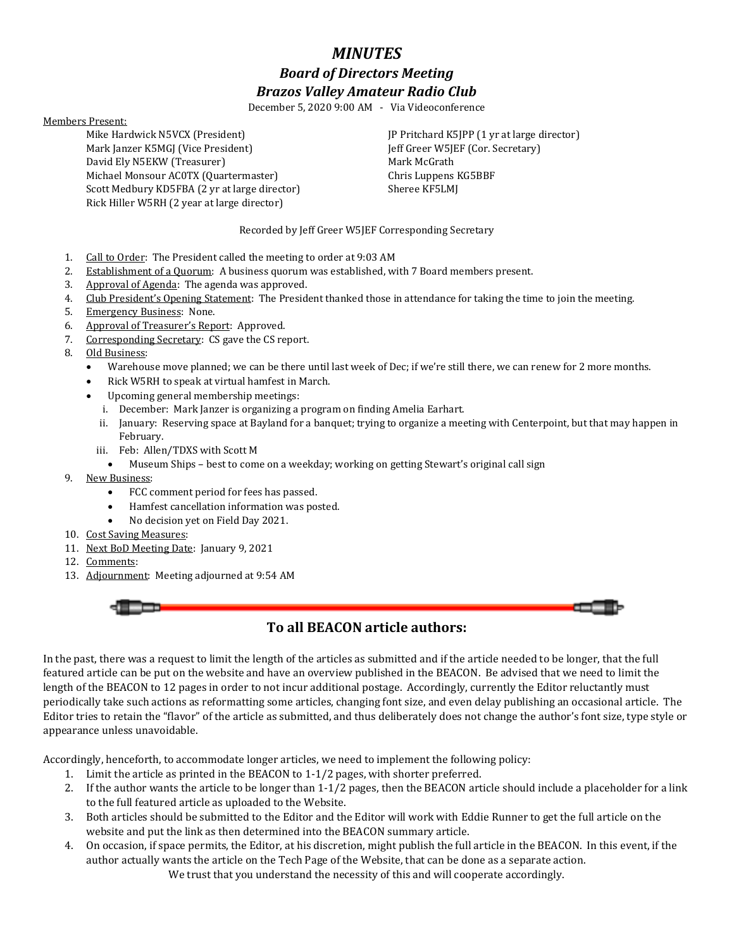## *MINUTES Board of Directors Meeting Brazos Valley Amateur Radio Club*

December 5, 2020 9:00 AM - Via Videoconference

### Members Present:

Mike Hardwick N5VCX (President) Mark Janzer K5MGJ (Vice President) David Ely N5EKW (Treasurer) Michael Monsour AC0TX (Quartermaster) Scott Medbury KD5FBA (2 yr at large director) Rick Hiller W5RH (2 year at large director)

JP Pritchard K5JPP (1 yr at large director) Jeff Greer W5JEF (Cor. Secretary) Mark McGrath Chris Luppens KG5BBF Sheree KF5LMJ

Recorded by Jeff Greer W5JEF Corresponding Secretary

- 1. Call to Order: The President called the meeting to order at 9:03 AM
- 2. Establishment of a Quorum: A business quorum was established, with 7 Board members present.
- 3. Approval of Agenda: The agenda was approved.
- 4. Club President's Opening Statement: The President thanked those in attendance for taking the time to join the meeting.
- 5. Emergency Business: None.
- 6. Approval of Treasurer's Report: Approved.
- 7. Corresponding Secretary: CS gave the CS report.
- 8. Old Business:
	- Warehouse move planned; we can be there until last week of Dec; if we're still there, we can renew for 2 more months.
	- Rick W5RH to speak at virtual hamfest in March.
	- Upcoming general membership meetings:
		- i. December: Mark Janzer is organizing a program on finding Amelia Earhart.
		- ii. January: Reserving space at Bayland for a banquet; trying to organize a meeting with Centerpoint, but that may happen in February.
		- iii. Feb: Allen/TDXS with Scott M
			- Museum Ships best to come on a weekday; working on getting Stewart's original call sign
- 9. New Business:
	- FCC comment period for fees has passed.
	- Hamfest cancellation information was posted.
	- No decision yet on Field Day 2021.
- 10. Cost Saving Measures:
- 11. Next BoD Meeting Date: January 9, 2021
- 12. Comments:
- 13. Adjournment: Meeting adjourned at 9:54 AM

### **To all BEACON article authors:**

In the past, there was a request to limit the length of the articles as submitted and if the article needed to be longer, that the full featured article can be put on the website and have an overview published in the BEACON. Be advised that we need to limit the length of the BEACON to 12 pages in order to not incur additional postage. Accordingly, currently the Editor reluctantly must periodically take such actions as reformatting some articles, changing font size, and even delay publishing an occasional article. The Editor tries to retain the "flavor" of the article as submitted, and thus deliberately does not change the author's font size, type style or appearance unless unavoidable.

Accordingly, henceforth, to accommodate longer articles, we need to implement the following policy:

- 1. Limit the article as printed in the BEACON to 1-1/2 pages, with shorter preferred.
- 2. If the author wants the article to be longer than 1-1/2 pages, then the BEACON article should include a placeholder for a link to the full featured article as uploaded to the Website.
- 3. Both articles should be submitted to the Editor and the Editor will work with Eddie Runner to get the full article on the website and put the link as then determined into the BEACON summary article.
- 4. On occasion, if space permits, the Editor, at his discretion, might publish the full article in the BEACON. In this event, if the author actually wants the article on the Tech Page of the Website, that can be done as a separate action.

We trust that you understand the necessity of this and will cooperate accordingly.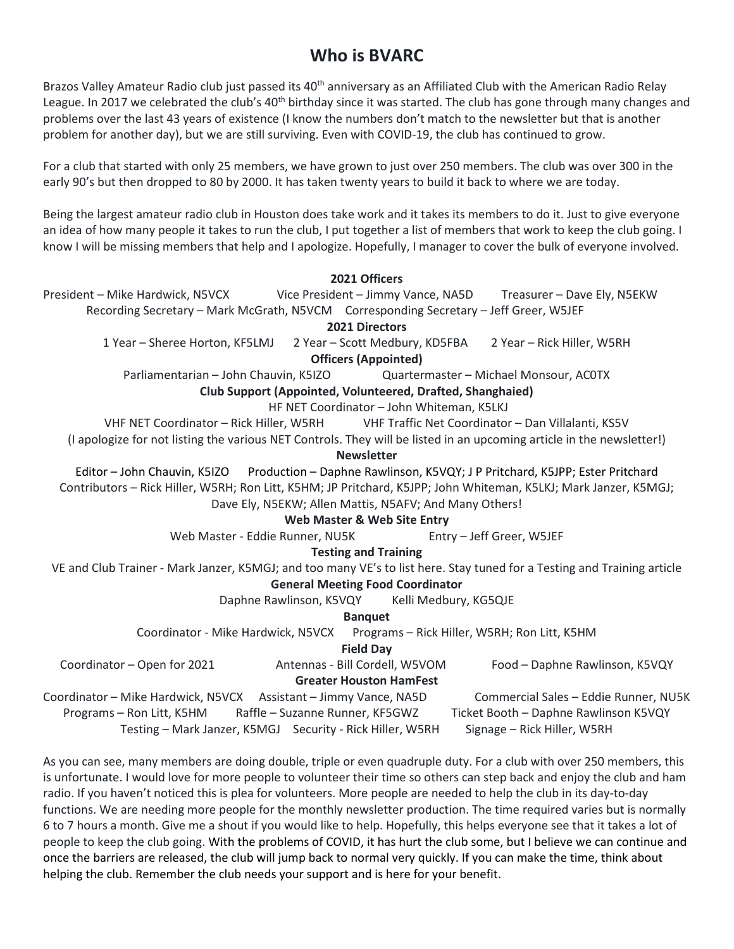## **Who is BVARC**

Brazos Valley Amateur Radio club just passed its 40<sup>th</sup> anniversary as an Affiliated Club with the American Radio Relay League. In 2017 we celebrated the club's  $40<sup>th</sup>$  birthday since it was started. The club has gone through many changes and problems over the last 43 years of existence (I know the numbers don't match to the newsletter but that is another problem for another day), but we are still surviving. Even with COVID-19, the club has continued to grow.

For a club that started with only 25 members, we have grown to just over 250 members. The club was over 300 in the early 90's but then dropped to 80 by 2000. It has taken twenty years to build it back to where we are today.

Being the largest amateur radio club in Houston does take work and it takes its members to do it. Just to give everyone an idea of how many people it takes to run the club, I put together a list of members that work to keep the club going. I know I will be missing members that help and I apologize. Hopefully, I manager to cover the bulk of everyone involved.

### **2021 Officers**

President – Mike Hardwick, N5VCX Vice President – Jimmy Vance, NA5D Treasurer – Dave Ely, N5EKW

Recording Secretary – Mark McGrath, N5VCM Corresponding Secretary – Jeff Greer, W5JEF

**2021 Directors** 

1 Year – Sheree Horton, KF5LMJ 2 Year – Scott Medbury, KD5FBA 2 Year – Rick Hiller, W5RH **Officers (Appointed)** 

Parliamentarian – John Chauvin, K5IZO Quartermaster – Michael Monsour, AC0TX

### **Club Support (Appointed, Volunteered, Drafted, Shanghaied)**

HF NET Coordinator – John Whiteman, K5LKJ

VHF NET Coordinator – Rick Hiller, W5RH VHF Traffic Net Coordinator – Dan Villalanti, KS5V

(I apologize for not listing the various NET Controls. They will be listed in an upcoming article in the newsletter!)

**Newsletter** 

Editor – John Chauvin, K5IZO Production – Daphne Rawlinson, K5VQY; J P Pritchard, K5JPP; Ester Pritchard Contributors – Rick Hiller, W5RH; Ron Litt, K5HM; JP Pritchard, K5JPP; John Whiteman, K5LKJ; Mark Janzer, K5MGJ; Dave Ely, N5EKW; Allen Mattis, N5AFV; And Many Others!

### **Web Master & Web Site Entry**

Web Master - Eddie Runner, NU5K Entry – Jeff Greer, W5JEF

### **Testing and Training**

VE and Club Trainer - Mark Janzer, K5MGJ; and too many VE's to list here. Stay tuned for a Testing and Training article

### **General Meeting Food Coordinator**

Daphne Rawlinson, K5VQY Kelli Medbury, KG5QJE

**Banquet** 

Coordinator - Mike Hardwick, N5VCX Programs – Rick Hiller, W5RH; Ron Litt, K5HM

**Field Day** 

Coordinator – Open for 2021 Antennas - Bill Cordell, W5VOM Food – Daphne Rawlinson, K5VQY

### **Greater Houston HamFest**

Coordinator – Mike Hardwick, N5VCX Assistant – Jimmy Vance, NA5D Commercial Sales – Eddie Runner, NU5K Programs – Ron Litt, K5HM Raffle – Suzanne Runner, KF5GWZ Ticket Booth – Daphne Rawlinson K5VQY Testing – Mark Janzer, K5MGJ Security - Rick Hiller, W5RH Signage – Rick Hiller, W5RH

As you can see, many members are doing double, triple or even quadruple duty. For a club with over 250 members, this is unfortunate. I would love for more people to volunteer their time so others can step back and enjoy the club and ham radio. If you haven't noticed this is plea for volunteers. More people are needed to help the club in its day-to-day functions. We are needing more people for the monthly newsletter production. The time required varies but is normally 6 to 7 hours a month. Give me a shout if you would like to help. Hopefully, this helps everyone see that it takes a lot of people to keep the club going. With the problems of COVID, it has hurt the club some, but I believe we can continue and once the barriers are released, the club will jump back to normal very quickly. If you can make the time, think about helping the club. Remember the club needs your support and is here for your benefit.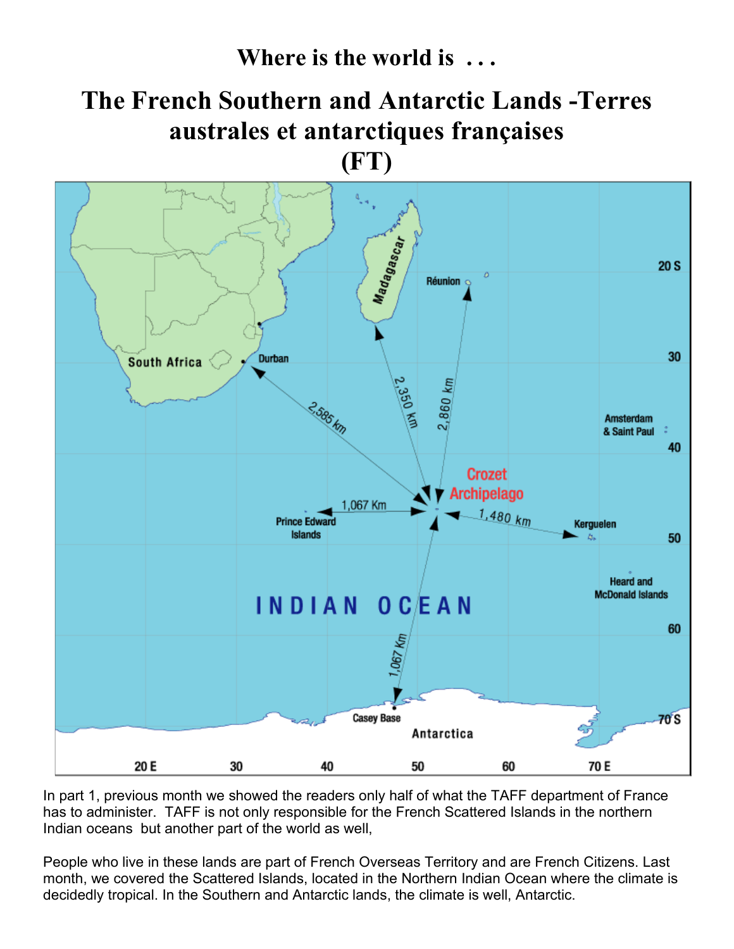**Where is the world is . . .** 

# **The French Southern and Antarctic Lands -Terres australes et antarctiques françaises**

**(FT)** 



In part 1, previous month we showed the readers only half of what the TAFF department of France has to administer. TAFF is not only responsible for the French Scattered Islands in the northern Indian oceans but another part of the world as well,

People who live in these lands are part of French Overseas Territory and are French Citizens. Last month, we covered the Scattered Islands, located in the Northern Indian Ocean where the climate is decidedly tropical. In the Southern and Antarctic lands, the climate is well, Antarctic.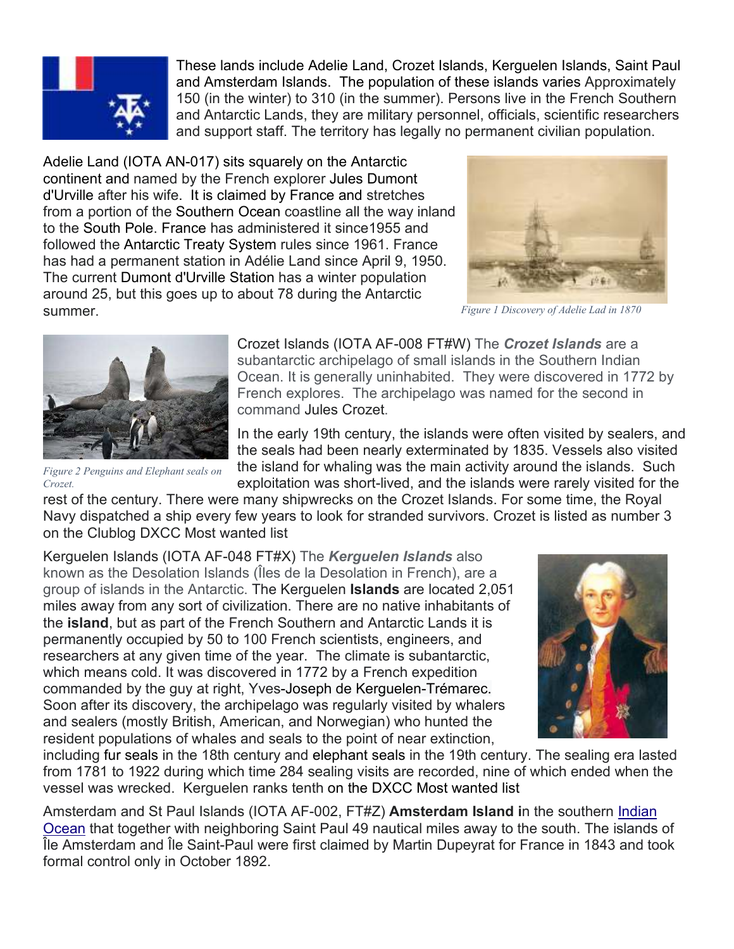

These lands include Adelie Land, Crozet Islands, Kerguelen Islands, Saint Paul and Amsterdam Islands. The population of these islands varies Approximately 150 (in the winter) to 310 (in the summer). Persons live in the French Southern and Antarctic Lands, they are military personnel, officials, scientific researchers and support staff. The territory has legally no permanent civilian population.

Adelie Land (IOTA AN-017) sits squarely on the Antarctic continent and named by the French explorer Jules Dumont d'Urville after his wife. It is claimed by France and stretches from a portion of the Southern Ocean coastline all the way inland to the South Pole. France has administered it since1955 and followed the Antarctic Treaty System rules since 1961. France has had a permanent station in Adélie Land since April 9, 1950. The current Dumont d'Urville Station has a winter population around 25, but this goes up to about 78 during the Antarctic summer.



*Figure 1 Discovery of Adelie Lad in 1870*



*Figure 2 Penguins and Elephant seals on* 

Crozet Islands (IOTA AF-008 FT#W) The *Crozet Islands* are a subantarctic archipelago of small islands in the Southern Indian Ocean. It is generally uninhabited. They were discovered in 1772 by French explores. The archipelago was named for the second in command Jules Crozet.

In the early 19th century, the islands were often visited by sealers, and the seals had been nearly exterminated by 1835. Vessels also visited the island for whaling was the main activity around the islands. Such exploitation was short-lived, and the islands were rarely visited for the

rest of the century. There were many shipwrecks on the Crozet Islands. For some time, the Royal Navy dispatched a ship every few years to look for stranded survivors. Crozet is listed as number 3 on the Clublog DXCC Most wanted list *Crozet.*

Kerguelen Islands (IOTA AF-048 FT#X) The *Kerguelen Islands* also known as the Desolation Islands (Îles de la Desolation in French), are a group of islands in the Antarctic. The Kerguelen **Islands** are located 2,051 miles away from any sort of civilization. There are no native inhabitants of the **island**, but as part of the French Southern and Antarctic Lands it is permanently occupied by 50 to 100 French scientists, engineers, and researchers at any given time of the year. The climate is subantarctic, which means cold. It was discovered in 1772 by a French expedition commanded by the guy at right, Yves-Joseph de Kerguelen-Trémarec. Soon after its discovery, the archipelago was regularly visited by whalers and sealers (mostly British, American, and Norwegian) who hunted the resident populations of whales and seals to the point of near extinction,



including fur seals in the 18th century and elephant seals in the 19th century. The sealing era lasted from 1781 to 1922 during which time 284 sealing visits are recorded, nine of which ended when the vessel was wrecked. Kerguelen ranks tenth on the DXCC Most wanted list

Amsterdam and St Paul Islands (IOTA AF-002, FT#Z) **Amsterdam Island i**n the southern Indian Ocean that together with neighboring Saint Paul 49 nautical miles away to the south. The islands of Île Amsterdam and Île Saint-Paul were first claimed by Martin Dupeyrat for France in 1843 and took formal control only in October 1892.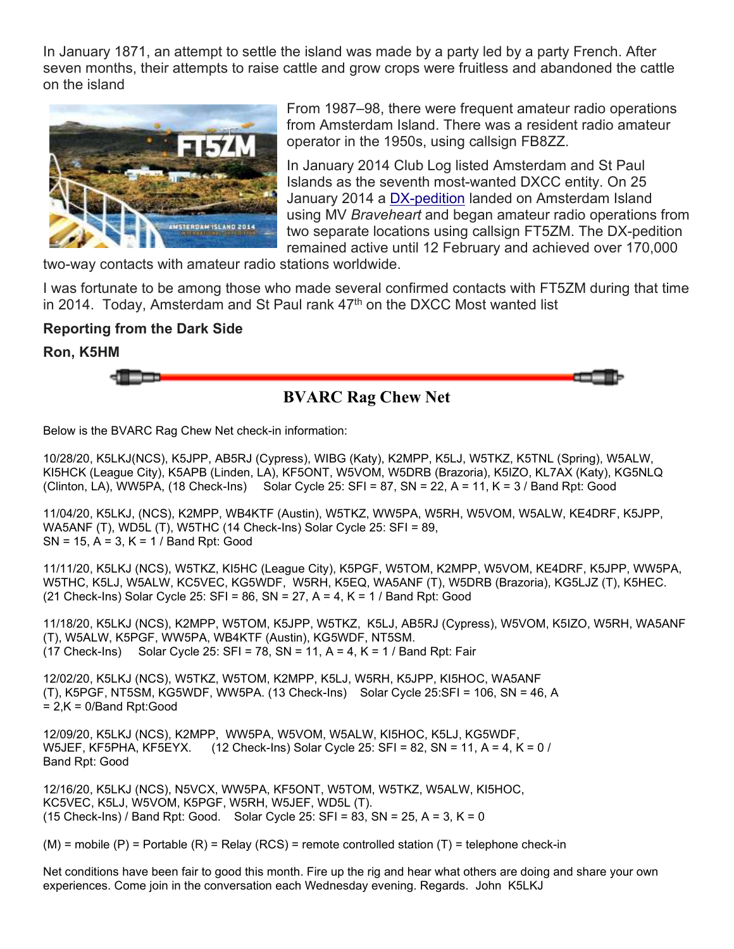In January 1871, an attempt to settle the island was made by a party led by a party French. After seven months, their attempts to raise cattle and grow crops were fruitless and abandoned the cattle on the island



From 1987–98, there were frequent amateur radio operations from Amsterdam Island. There was a resident radio amateur operator in the 1950s, using callsign FB8ZZ.

In January 2014 Club Log listed Amsterdam and St Paul Islands as the seventh most-wanted DXCC entity. On 25 January 2014 a DX-pedition landed on Amsterdam Island using MV *Braveheart* and began amateur radio operations from two separate locations using callsign FT5ZM. The DX-pedition remained active until 12 February and achieved over 170,000

two-way contacts with amateur radio stations worldwide.

I was fortunate to be among those who made several confirmed contacts with FT5ZM during that time in 2014. Today, Amsterdam and St Paul rank  $47<sup>th</sup>$  on the DXCC Most wanted list

### **Reporting from the Dark Side**

**Ron, K5HM** 



Below is the BVARC Rag Chew Net check-in information:

10/28/20, K5LKJ(NCS), K5JPP, AB5RJ (Cypress), WIBG (Katy), K2MPP, K5LJ, W5TKZ, K5TNL (Spring), W5ALW, KI5HCK (League City), K5APB (Linden, LA), KF5ONT, W5VOM, W5DRB (Brazoria), K5IZO, KL7AX (Katy), KG5NLQ (Clinton, LA), WW5PA, (18 Check-Ins) Solar Cycle 25: SFI = 87, SN = 22, A = 11, K = 3 / Band Rpt: Good

11/04/20, K5LKJ, (NCS), K2MPP, WB4KTF (Austin), W5TKZ, WW5PA, W5RH, W5VOM, W5ALW, KE4DRF, K5JPP, WA5ANF (T), WD5L (T), W5THC (14 Check-Ins) Solar Cycle 25: SFI = 89, SN = 15, A = 3, K = 1 / Band Rpt: Good

11/11/20, K5LKJ (NCS), W5TKZ, KI5HC (League City), K5PGF, W5TOM, K2MPP, W5VOM, KE4DRF, K5JPP, WW5PA, W5THC, K5LJ, W5ALW, KC5VEC, KG5WDF, W5RH, K5EQ, WA5ANF (T), W5DRB (Brazoria), KG5LJZ (T), K5HEC. (21 Check-Ins) Solar Cycle 25:  $SFI = 86$ ,  $SN = 27$ ,  $A = 4$ ,  $K = 1$  / Band Rpt: Good

11/18/20, K5LKJ (NCS), K2MPP, W5TOM, K5JPP, W5TKZ, K5LJ, AB5RJ (Cypress), W5VOM, K5IZO, W5RH, WA5ANF (T), W5ALW, K5PGF, WW5PA, WB4KTF (Austin), KG5WDF, NT5SM.  $(17$  Check-Ins) Solar Cycle 25: SFI = 78, SN = 11, A = 4, K = 1 / Band Rpt: Fair

12/02/20, K5LKJ (NCS), W5TKZ, W5TOM, K2MPP, K5LJ, W5RH, K5JPP, KI5HOC, WA5ANF (T), K5PGF, NT5SM, KG5WDF, WW5PA. (13 Check-Ins) Solar Cycle 25:SFI = 106, SN = 46, A = 2,K = 0/Band Rpt:Good

12/09/20, K5LKJ (NCS), K2MPP, WW5PA, W5VOM, W5ALW, KI5HOC, K5LJ, KG5WDF, W5JEF, KF5PHA, KF5EYX. (12 Check-Ins) Solar Cycle 25: SFI = 82, SN = 11, A = 4, K = 0 / Band Rpt: Good

12/16/20, K5LKJ (NCS), N5VCX, WW5PA, KF5ONT, W5TOM, W5TKZ, W5ALW, KI5HOC, KC5VEC, K5LJ, W5VOM, K5PGF, W5RH, W5JEF, WD5L (T). (15 Check-Ins) / Band Rpt: Good. Solar Cycle 25: SFI = 83, SN = 25, A = 3, K = 0

 $(M)$  = mobile  $(P)$  = Portable  $(R)$  = Relay  $(RCS)$  = remote controlled station  $(T)$  = telephone check-in

Net conditions have been fair to good this month. Fire up the rig and hear what others are doing and share your own experiences. Come join in the conversation each Wednesday evening. Regards. John K5LKJ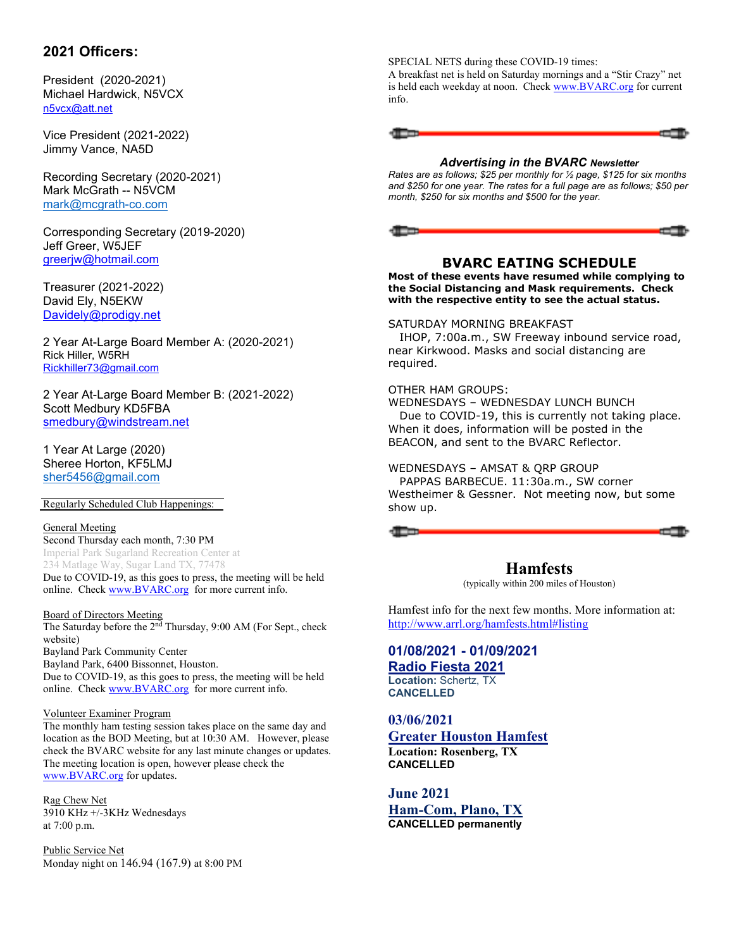### **2021 Officers:**

President (2020-2021) Michael Hardwick, N5VCX n5vcx@att.net

Vice President (2021-2022) Jimmy Vance, NA5D

Recording Secretary (2020-2021) Mark McGrath -- N5VCM mark@mcgrath-co.com

Corresponding Secretary (2019-2020) Jeff Greer, W5JEF greerjw@hotmail.com

Treasurer (2021-2022) David Ely, N5EKW Davidely@prodigy.net

2 Year At-Large Board Member A: (2020-2021) Rick Hiller, W5RH Rickhiller73@gmail.com

2 Year At-Large Board Member B: (2021-2022) Scott Medbury KD5FBA smedbury@windstream.net

1 Year At Large (2020) Sheree Horton, KF5LMJ sher5456@gmail.com

Regularly Scheduled Club Happenings:

### General Meeting

Second Thursday each month, 7:30 PM Imperial Park Sugarland Recreation Center at 234 Matlage Way, Sugar Land TX, 77478 Due to COVID-19, as this goes to press, the meeting will be held online. Check www.BVARC.org for more current info.

### Board of Directors Meeting

The Saturday before the 2<sup>nd</sup> Thursday, 9:00 AM (For Sept., check website) Bayland Park Community Center Bayland Park, 6400 Bissonnet, Houston. Due to COVID-19, as this goes to press, the meeting will be held online. Check www.BVARC.org for more current info.

### Volunteer Examiner Program

The monthly ham testing session takes place on the same day and location as the BOD Meeting, but at 10:30 AM. However, please check the BVARC website for any last minute changes or updates. The meeting location is open, however please check the www.BVARC.org for updates.

Rag Chew Net 3910 KHz +/-3KHz Wednesdays at 7:00 p.m.

Public Service Net Monday night on 146.94 (167.9) at 8:00 PM SPECIAL NETS during these COVID-19 times:

A breakfast net is held on Saturday mornings and a "Stir Crazy" net is held each weekday at noon. Check www.BVARC.org for current info.

### *Advertising in the BVARC Newsletter*

*Rates are as follows; \$25 per monthly for ½ page, \$125 for six months and \$250 for one year. The rates for a full page are as follows; \$50 per month, \$250 for six months and \$500 for the year.* 



### **BVARC EATING SCHEDULE**

**Most of these events have resumed while complying to the Social Distancing and Mask requirements. Check with the respective entity to see the actual status.** 

### SATURDAY MORNING BREAKFAST

 IHOP, 7:00a.m., SW Freeway inbound service road, near Kirkwood. Masks and social distancing are required.

### OTHER HAM GROUPS:

WEDNESDAYS – WEDNESDAY LUNCH BUNCH Due to COVID-19, this is currently not taking place. When it does, information will be posted in the BEACON, and sent to the BVARC Reflector.

### WEDNESDAYS – AMSAT & QRP GROUP

 PAPPAS BARBECUE. 11:30a.m., SW corner Westheimer & Gessner. Not meeting now, but some show up.



## **Hamfests**

(typically within 200 miles of Houston)

Hamfest info for the next few months. More information at: http://www.arrl.org/hamfests.html#listing

**01/08/2021 - 01/09/2021 Radio Fiesta 2021 Location:** Schertz, TX **CANCELLED** 

### **03/06/2021**

**Greater Houston Hamfest Location: Rosenberg, TX CANCELLED**

**June 2021 Ham-Com, Plano, TX CANCELLED permanently**